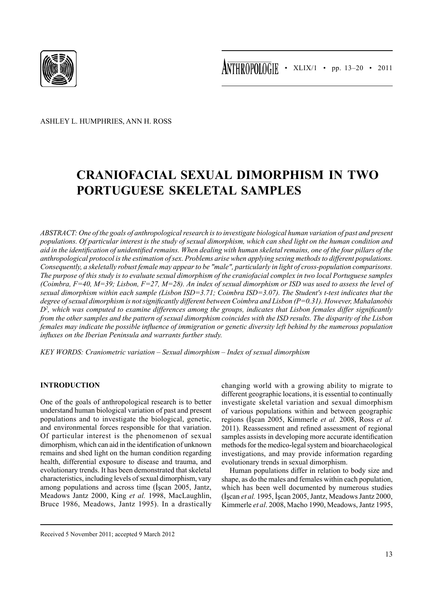

Ashley L. Humphries, Ann H. Ross

# **Craniofacial Sexual Dimorphism in Two Portuguese Skeletal Samples**

*Abstract: One of the goals of anthropological research is to investigate biological human variation of past and present populations. Of particular interest is the study of sexual dimorphism, which can shed light on the human condition and aid in the identification of unidentified remains. When dealing with human skeletal remains, one of the four pillars of the anthropological protocol is the estimation of sex. Problems arise when applying sexing methods to different populations. Consequently, a skeletally robust female may appear to be "male", particularly in light of cross-population comparisons. The purpose of this study is to evaluate sexual dimorphism of the craniofacial complex in two local Portuguese samples (Coimbra, F=40, M=39; Lisbon, F=27, M=28). An index of sexual dimorphism or ISD was used to assess the level of sexual dimorphism within each sample (Lisbon ISD=3.71; Coimbra ISD=3.07). The Student's t-test indicates that the degree of sexual dimorphism is not significantly different between Coimbra and Lisbon (P=0.31). However, Mahalanobis D<sup>2</sup> , which was computed to examine differences among the groups, indicates that Lisbon females differ significantly from the other samples and the pattern of sexual dimorphism coincides with the ISD results. The disparity of the Lisbon females may indicate the possible influence of immigration or genetic diversity left behind by the numerous population influxes on the Iberian Peninsula and warrants further study.*

*Key words: Craniometric variation – Sexual dimorphism – Index of sexual dimorphism*

# **Introduction**

One of the goals of anthropological research is to better understand human biological variation of past and present populations and to investigate the biological, genetic, and environmental forces responsible for that variation. Of particular interest is the phenomenon of sexual dimorphism, which can aid in the identification of unknown remains and shed light on the human condition regarding health, differential exposure to disease and trauma, and evolutionary trends. It has been demonstrated that skeletal characteristics, including levels of sexual dimorphism, vary among populations and across time (İşcan 2005, Jantz, Meadows Jantz 2000, King *et al.* 1998, MacLaughlin, Bruce 1986, Meadows, Jantz 1995). In a drastically

changing world with a growing ability to migrate to different geographic locations, it is essential to continually investigate skeletal variation and sexual dimorphism of various populations within and between geographic regions (İşcan 2005, Kimmerle *et al.* 2008, Ross *et al.*  2011). Reassessment and refined assessment of regional samples assists in developing more accurate identification methods for the medico-legal system and bioarchaeological investigations, and may provide information regarding evolutionary trends in sexual dimorphism.

Human populations differ in relation to body size and shape, as do the males and females within each population, which has been well documented by numerous studies (İşcan *et al.* 1995, İşcan 2005, Jantz, Meadows Jantz 2000, Kimmerle *et al*. 2008, Macho 1990, Meadows, Jantz 1995,

Received 5 November 2011; accepted 9 March 2012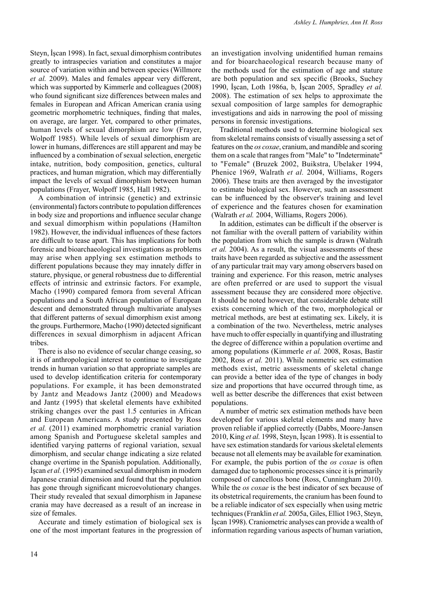Steyn, İşcan 1998). In fact, sexual dimorphism contributes greatly to intraspecies variation and constitutes a major source of variation within and between species (Willmore *et al.* 2009). Males and females appear very different, which was supported by Kimmerle and colleagues (2008) who found significant size differences between males and females in European and African American crania using geometric morphometric techniques, finding that males, on average, are larger. Yet, compared to other primates, human levels of sexual dimorphism are low (Frayer, Wolpoff 1985). While levels of sexual dimorphism are lower in humans, differences are still apparent and may be influenced by a combination of sexual selection, energetic intake, nutrition, body composition, genetics, cultural practices, and human migration, which may differentially impact the levels of sexual dimorphism between human populations (Frayer, Wolpoff 1985, Hall 1982).

A combination of intrinsic (genetic) and extrinsic (environmental) factors contribute to population differences in body size and proportions and influence secular change and sexual dimorphism within populations (Hamilton 1982). However, the individual influences of these factors are difficult to tease apart. This has implications for both forensic and bioarchaeological investigations as problems may arise when applying sex estimation methods to different populations because they may innately differ in stature, physique, or general robustness due to differential effects of intrinsic and extrinsic factors. For example, Macho (1990) compared femora from several African populations and a South African population of European descent and demonstrated through multivariate analyses that different patterns of sexual dimorphism exist among the groups. Furthermore, Macho (1990) detected significant differences in sexual dimorphism in adjacent African tribes.

There is also no evidence of secular change ceasing, so it is of anthropological interest to continue to investigate trends in human variation so that appropriate samples are used to develop identification criteria for contemporary populations. For example, it has been demonstrated by Jantz and Meadows Jantz (2000) and Meadows and Jantz (1995) that skeletal elements have exhibited striking changes over the past 1.5 centuries in African and European Americans. A study presented by Ross *et al.* (2011) examined morphometric cranial variation among Spanish and Portuguese skeletal samples and identified varying patterns of regional variation, sexual dimorphism, and secular change indicating a size related change overtime in the Spanish population. Additionally, İşcan *et al.* (1995) examined sexual dimorphism in modern Japanese cranial dimension and found that the population has gone through significant microevolutionary changes. Their study revealed that sexual dimorphism in Japanese crania may have decreased as a result of an increase in size of females.

Accurate and timely estimation of biological sex is one of the most important features in the progression of an investigation involving unidentified human remains and for bioarchaeological research because many of the methods used for the estimation of age and stature are both population and sex specific (Brooks, Suchey 1990, İşcan, Loth 1986a, b, İşcan 2005, Spradley *et al.*  2008). The estimation of sex helps to approximate the sexual composition of large samples for demographic investigations and aids in narrowing the pool of missing persons in forensic investigations.

Traditional methods used to determine biological sex from skeletal remains consists of visually assessing a set of features on the *os coxae*, cranium, and mandible and scoring them on a scale that ranges from "Male" to "Indeterminate" to "Female" (Bruzek 2002, Buikstra, Ubelaker 1994, Phenice 1969, Walrath *et al.* 2004, Williams, Rogers 2006). These traits are then averaged by the investigator to estimate biological sex. However, such an assessment can be influenced by the observer's training and level of experience and the features chosen for examination (Walrath *et al.* 2004, Williams, Rogers 2006).

In addition, estimates can be difficult if the observer is not familiar with the overall pattern of variability within the population from which the sample is drawn (Walrath *et al.* 2004). As a result, the visual assessments of these traits have been regarded as subjective and the assessment of any particular trait may vary among observers based on training and experience. For this reason, metric analyses are often preferred or are used to support the visual assessment because they are considered more objective. It should be noted however, that considerable debate still exists concerning which of the two, morphological or metrical methods, are best at estimating sex. Likely, it is a combination of the two. Nevertheless, metric analyses have much to offer especially in quantifying and illustrating the degree of difference within a population overtime and among populations (Kimmerle *et al.* 2008, Rosas, Bastir 2002, Ross *et al.* 2011). While nonmetric sex estimation methods exist, metric assessments of skeletal change can provide a better idea of the type of changes in body size and proportions that have occurred through time, as well as better describe the differences that exist between populations.

A number of metric sex estimation methods have been developed for various skeletal elements and many have proven reliable if applied correctly (Dabbs, Moore-Jansen 2010, King *et al.* 1998, Steyn, İşcan 1998). It is essential to have sex estimation standards for various skeletal elements because not all elements may be available for examination*.* For example, the pubis portion of the *os coxae* is often damaged due to taphonomic processes since it is primarily composed of cancellous bone (Ross, Cunningham 2010). While the *os coxae* is the best indicator of sex because of its obstetrical requirements, the cranium has been found to be a reliable indicator of sex especially when using metric techniques (Franklin *et al.* 2005a, Giles, Elliot 1963, Steyn, İşcan 1998). Craniometric analyses can provide a wealth of information regarding various aspects of human variation,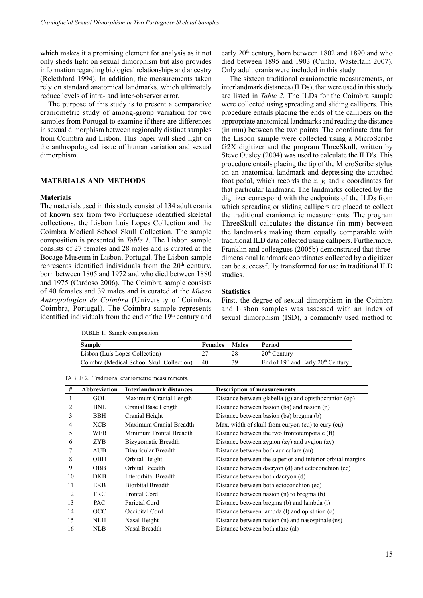which makes it a promising element for analysis as it not only sheds light on sexual dimorphism but also provides information regarding biological relationships and ancestry (Relethford 1994). In addition, the measurements taken rely on standard anatomical landmarks, which ultimately reduce levels of intra- and inter-observer error.

The purpose of this study is to present a comparative craniometric study of among-group variation for two samples from Portugal to examine if there are differences in sexual dimorphism between regionally distinct samples from Coimbra and Lisbon. This paper will shed light on the anthropological issue of human variation and sexual dimorphism.

#### **Materials and Methods**

#### **Materials**

The materials used in this study consist of 134 adult crania of known sex from two Portuguese identified skeletal collections, the Lisbon Luís Lopes Collection and the Coimbra Medical School Skull Collection. The sample composition is presented in *Table 1.* The Lisbon sample consists of 27 females and 28 males and is curated at the Bocage Museum in Lisbon, Portugal. The Lisbon sample represents identified individuals from the  $20<sup>th</sup>$  century, born between 1805 and 1972 and who died between 1880 and 1975 (Cardoso 2006). The Coimbra sample consists of 40 females and 39 males and is curated at the *Museo Antropologico de Coimbra* (University of Coimbra, Coimbra, Portugal). The Coimbra sample represents identified individuals from the end of the  $19<sup>th</sup>$  century and

TABLE 1. Sample composition.

early 20th century, born between 1802 and 1890 and who died between 1895 and 1903 (Cunha, Wasterlain 2007). Only adult crania were included in this study.

The sixteen traditional craniometric measurements, or interlandmark distances (ILDs), that were used in this study are listed in *Table 2.* The ILDs for the Coimbra sample were collected using spreading and sliding callipers. This procedure entails placing the ends of the callipers on the appropriate anatomical landmarks and reading the distance (in mm) between the two points. The coordinate data for the Lisbon sample were collected using a MicroScribe G2X digitizer and the program ThreeSkull, written by Steve Ousley (2004) was used to calculate the ILD's. This procedure entails placing the tip of the MicroScribe stylus on an anatomical landmark and depressing the attached foot pedal, which records the *x, y,* and *z* coordinates for that particular landmark. The landmarks collected by the digitizer correspond with the endpoints of the ILDs from which spreading or sliding callipers are placed to collect the traditional craniometric measurements. The program ThreeSkull calculates the distance (in mm) between the landmarks making them equally comparable with traditional ILD data collected using callipers. Furthermore, Franklin and colleagues (2005b) demonstrated that threedimensional landmark coordinates collected by a digitizer can be successfully transformed for use in traditional ILD studies.

#### **Statistics**

First, the degree of sexual dimorphism in the Coimbra and Lisbon samples was assessed with an index of sexual dimorphism (ISD), a commonly used method to

| Sample                                    | <b>Females</b> | Males | Period                                                     |
|-------------------------------------------|----------------|-------|------------------------------------------------------------|
| Lisbon (Luís Lopes Collection)            |                |       | $20th$ Century                                             |
| Coimbra (Medical School Skull Collection) | 40             | 39    | End of 19 <sup>th</sup> and Early 20 <sup>th</sup> Century |

Table 2. Traditional craniometric measurements.

| #  | Abbreviation | Interlandmark distances  | <b>Description of measurements</b>                         |
|----|--------------|--------------------------|------------------------------------------------------------|
| 1  | GOL          | Maximum Cranial Length   | Distance between glabella (g) and opisthocranion (op)      |
| 2  | <b>BNL</b>   | Cranial Base Length      | Distance between basion (ba) and nasion (n)                |
| 3  | BBH          | Cranial Height           | Distance between basion (ba) bregma (b)                    |
| 4  | XCB          | Maximum Cranial Breadth  | Max. width of skull from euryon (eu) to eury (eu)          |
| 5  | WFB          | Minimum Frontal Breadth  | Distance between the two frontotemporale (ft)              |
| 6  | ZYB          | Bizygomatic Breadth      | Distance between zygion (zy) and zygion (zy)               |
|    | <b>AUB</b>   | Biauricular Breadth      | Distance between both auriculare (au)                      |
| 8  | OBH          | Orbital Height           | Distance between the superior and inferior orbital margins |
| 9  | <b>OBB</b>   | Orbital Breadth          | Distance between dacryon (d) and ectoconchion (ec)         |
| 10 | DKB          | Interorbital Breadth     | Distance between both dacryon (d)                          |
| 11 | <b>EKB</b>   | <b>Biorbital Breadth</b> | Distance between both ectoconchion (ec)                    |
| 12 | <b>FRC</b>   | Frontal Cord             | Distance between nasion $(n)$ to bregma $(b)$              |
| 13 | <b>PAC</b>   | Parietal Cord            | Distance between bregma (b) and lambda (l)                 |
| 14 | OCC          | Occipital Cord           | Distance between lambda (1) and opisthion (0)              |
| 15 | NLH          | Nasal Height             | Distance between nasion (n) and nasospinale (ns)           |
| 16 | NLB          | Nasal Breadth            | Distance between both alare (al)                           |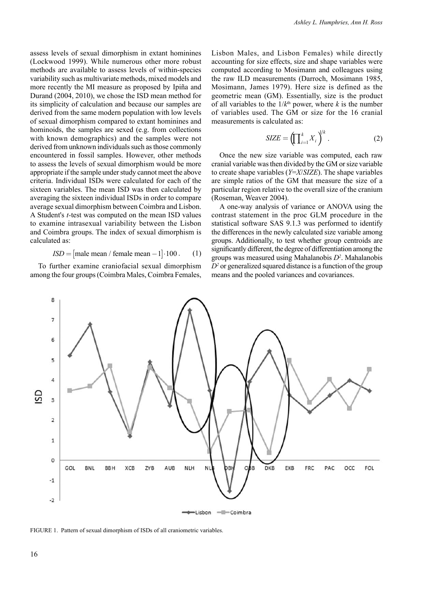assess levels of sexual dimorphism in extant hominines (Lockwood 1999). While numerous other more robust methods are available to assess levels of within-species variability such as multivariate methods, mixed models and more recently the MI measure as proposed by Ipiña and Durand (2004, 2010), we chose the ISD mean method for its simplicity of calculation and because our samples are derived from the same modern population with low levels of sexual dimorphism compared to extant hominines and hominoids, the samples are sexed (e.g. from collections with known demographics) and the samples were not derived from unknown individuals such as those commonly encountered in fossil samples. However, other methods to assess the levels of sexual dimorphism would be more appropriate if the sample under study cannot meet the above criteria. Individual ISDs were calculated for each of the sixteen variables. The mean ISD was then calculated by averaging the sixteen individual ISDs in order to compare average sexual dimorphism between Coimbra and Lisbon. A Student's *t-*test was computed on the mean ISD values to examine intrasexual variability between the Lisbon and Coimbra groups. The index of sexual dimorphism is calculated as:

$$
ISD = [male mean / female mean - 1] \cdot 100.
$$
 (1)

To further examine craniofacial sexual dimorphism among the four groups (Coimbra Males, Coimbra Females,

Lisbon Males, and Lisbon Females) while directly accounting for size effects, size and shape variables were computed according to Mosimann and colleagues using the raw ILD measurements (Darroch, Mosimann 1985, Mosimann, James 1979). Here size is defined as the geometric mean (GM). Essentially, size is the product of all variables to the  $1/k<sup>th</sup>$  power, where *k* is the number of variables used. The GM or size for the 16 cranial measurements is calculated as:

$$
SIZE = \left(\prod_{i=1}^{k} X_i\right)^{1/k}.
$$
 (2)

Once the new size variable was computed, each raw cranial variable was then divided by the GM or size variable to create shape variables (*Y*=*X*/*SIZE*). The shape variables are simple ratios of the GM that measure the size of a particular region relative to the overall size of the cranium (Roseman, Weaver 2004).

A one-way analysis of variance or ANOVA using the contrast statement in the proc GLM procedure in the statistical software SAS 9.1.3 was performed to identify the differences in the newly calculated size variable among groups. Additionally, to test whether group centroids are significantly different, the degree of differentiation among the groups was measured using Mahalanobis *D<sup>2</sup>* . Mahalanobis  $D<sup>2</sup>$  or generalized squared distance is a function of the group means and the pooled variances and covariances.



FIGURE 1. Pattern of sexual dimorphism of ISDs of all craniometric variables.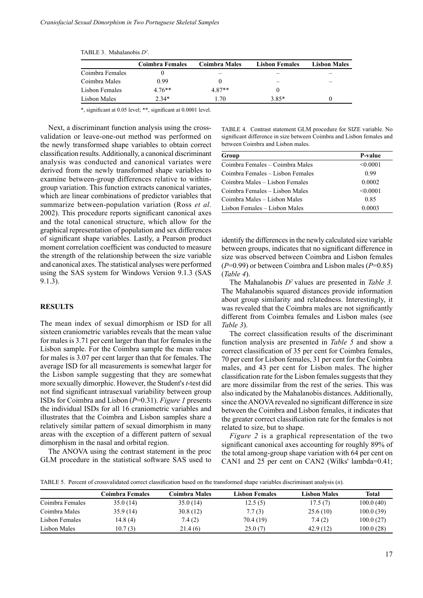|                 | Coimbra Females | <b>Coimbra Males</b> | <b>Lisbon Females</b> | <b>Lisbon Males</b> |
|-----------------|-----------------|----------------------|-----------------------|---------------------|
| Coimbra Females |                 |                      |                       |                     |
| Coimbra Males   | 0.99            |                      |                       |                     |
| Lisbon Females  | $4.76**$        | 487**                |                       |                     |
| Lisbon Males    | $2.34*$         | .70                  | 3.85*                 |                     |

Table 3. Mahalanobis *D<sup>2</sup>* .

\*, significant at 0.05 level; \*\*, significant at 0.0001 level.

Next, a discriminant function analysis using the crossvalidation or leave-one-out method was performed on the newly transformed shape variables to obtain correct classification results. Additionally, a canonical discriminant analysis was conducted and canonical variates were derived from the newly transformed shape variables to examine between-group differences relative to withingroup variation. This function extracts canonical variates, which are linear combinations of predictor variables that summarize between-population variation (Ross *et al.* 2002). This procedure reports significant canonical axes and the total canonical structure, which allow for the graphical representation of population and sex differences of significant shape variables. Lastly, a Pearson product moment correlation coefficient was conducted to measure the strength of the relationship between the size variable and canonical axes. The statistical analyses were performed using the SAS system for Windows Version 9.1.3 (SAS 9.1.3).

## **Results**

The mean index of sexual dimorphism or ISD for all sixteen craniometric variables reveals that the mean value for males is 3.71 per cent larger than that for females in the Lisbon sample. For the Coimbra sample the mean value for males is 3.07 per cent larger than that for females. The average ISD for all measurements is somewhat larger for the Lisbon sample suggesting that they are somewhat more sexually dimorphic. However, the Student's *t*-test did not find significant intrasexual variability between group ISDs for Coimbra and Lisbon (*P*=0.31). *Figure 1* presents the individual ISDs for all 16 craniometric variables and illustrates that the Coimbra and Lisbon samples share a relatively similar pattern of sexual dimorphism in many areas with the exception of a different pattern of sexual dimorphism in the nasal and orbital region.

The ANOVA using the contrast statement in the proc GLM procedure in the statistical software SAS used to Table 4. Contrast statement GLM procedure for SIZE variable. No significant difference in size between Coimbra and Lisbon females and between Coimbra and Lisbon males.

| Group                            | P-value  |
|----------------------------------|----------|
| Coimbra Females – Coimbra Males  | < 0.0001 |
| Coimbra Females - Lisbon Females | 0.99     |
| Coimbra Males – Lisbon Females   | 0.0002   |
| Coimbra Females – Lisbon Males   | < 0.0001 |
| Coimbra Males – Lisbon Males     | 0.85     |
| Lisbon Females – Lisbon Males    | 0.0003   |

identify the differences in the newly calculated size variable between groups, indicates that no significant difference in size was observed between Coimbra and Lisbon females (*P*=0.99) or between Coimbra and Lisbon males (*P*=0.85) (*Table 4*).

The Mahalanobis *D<sup>2</sup>* values are presented in *Table 3.*  The Mahalanobis squared distances provide information about group similarity and relatedness. Interestingly, it was revealed that the Coimbra males are not significantly different from Coimbra females and Lisbon males (see *Table 3*).

The correct classification results of the discriminant function analysis are presented in *Table 5* and show a correct classification of 35 per cent for Coimbra females, 70 per cent for Lisbon females, 31 per cent for the Coimbra males, and 43 per cent for Lisbon males. The higher classification rate for the Lisbon females suggests that they are more dissimilar from the rest of the series. This was also indicated by the Mahalanobis distances. Additionally, since the ANOVA revealed no significant difference in size between the Coimbra and Lisbon females, it indicates that the greater correct classification rate for the females is not related to size, but to shape.

*Figure 2* is a graphical representation of the two significant canonical axes accounting for roughly 89% of the total among-group shape variation with 64 per cent on CAN1 and 25 per cent on CAN2 (Wilks' lambda=0.41;

Table 5. Percent of crossvalidated correct classification based on the transformed shape variables discriminant analysis (*n*).

|                 | Coimbra Females | Coimbra Males | <b>Lisbon Females</b> | <b>Lisbon Males</b> | <b>Total</b> |
|-----------------|-----------------|---------------|-----------------------|---------------------|--------------|
| Coimbra Females | 35.0(14)        | 35.0(14)      | 12.5(5)               | 17.5(7)             | 100.0(40)    |
| Coimbra Males   | 35.9(14)        | 30.8(12)      | 7.7(3)                | 25.6(10)            | 100.0(39)    |
| Lisbon Females  | 14.8 (4)        | 7.4(2)        | 70.4 (19)             | 7.4(2)              | 100.0(27)    |
| Lisbon Males    | 10.7(3)         | 21.4(6)       | 25.0(7)               | 42.9(12)            | 100.0(28)    |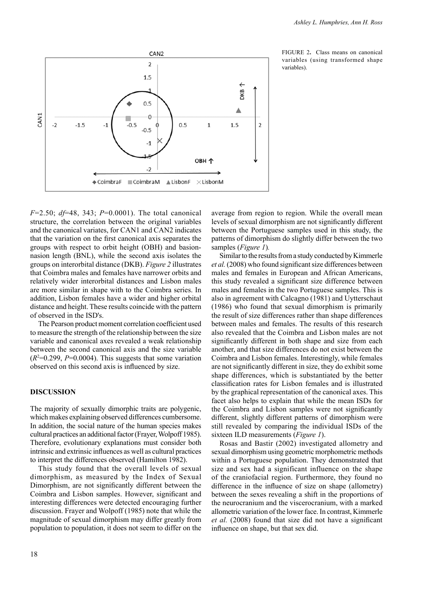

FIGURE 2. Class means on canonical variables (using transformed shape variables).

*F*=2.50; *df*=48, 343; *P*=0.0001). The total canonical structure, the correlation between the original variables and the canonical variates, for CAN1 and CAN2 indicates that the variation on the first canonical axis separates the groups with respect to orbit height (OBH) and basionnasion length (BNL), while the second axis isolates the groups on interorbital distance (DKB). *Figure 2* illustrates that Coimbra males and females have narrower orbits and relatively wider interorbital distances and Lisbon males are more similar in shape with to the Coimbra series. In addition, Lisbon females have a wider and higher orbital distance and height. These results coincide with the pattern of observed in the ISD's.

The Pearson product moment correlation coefficient used to measure the strength of the relationship between the size variable and canonical axes revealed a weak relationship between the second canonical axis and the size variable  $(R<sup>2</sup>=0.299, P=0.0004)$ . This suggests that some variation observed on this second axis is influenced by size.

### **Discussion**

The majority of sexually dimorphic traits are polygenic, which makes explaining observed differences cumbersome. In addition, the social nature of the human species makes cultural practices an additional factor (Frayer, Wolpoff 1985). Therefore, evolutionary explanations must consider both intrinsic and extrinsic influences as well as cultural practices to interpret the differences observed (Hamilton 1982).

This study found that the overall levels of sexual dimorphism, as measured by the Index of Sexual Dimorphism, are not significantly different between the Coimbra and Lisbon samples. However, significant and interesting differences were detected encouraging further discussion. Frayer and Wolpoff (1985) note that while the magnitude of sexual dimorphism may differ greatly from population to population, it does not seem to differ on the average from region to region. While the overall mean levels of sexual dimorphism are not significantly different between the Portuguese samples used in this study, the patterns of dimorphism do slightly differ between the two samples (*Figure 1*)*.*

Similar to the results from a study conducted by Kimmerle *et al.* (2008) who found significant size differences between males and females in European and African Americans, this study revealed a significant size difference between males and females in the two Portuguese samples. This is also in agreement with Calcagno (1981) and Uytterschaut (1986) who found that sexual dimorphism is primarily the result of size differences rather than shape differences between males and females. The results of this research also revealed that the Coimbra and Lisbon males are not significantly different in both shape and size from each another, and that size differences do not exist between the Coimbra and Lisbon females. Interestingly, while females are not significantly different in size, they do exhibit some shape differences, which is substantiated by the better classification rates for Lisbon females and is illustrated by the graphical representation of the canonical axes. This facet also helps to explain that while the mean ISDs for the Coimbra and Lisbon samples were not significantly different, slightly different patterns of dimorphism were still revealed by comparing the individual ISDs of the sixteen ILD measurements (*Figure 1*).

Rosas and Bastir (2002) investigated allometry and sexual dimorphism using geometric morphometric methods within a Portuguese population. They demonstrated that size and sex had a significant influence on the shape of the craniofacial region. Furthermore, they found no difference in the influence of size on shape (allometry) between the sexes revealing a shift in the proportions of the neurocranium and the viscerocranium, with a marked allometric variation of the lower face. In contrast, Kimmerle *et al.* (2008) found that size did not have a significant influence on shape, but that sex did.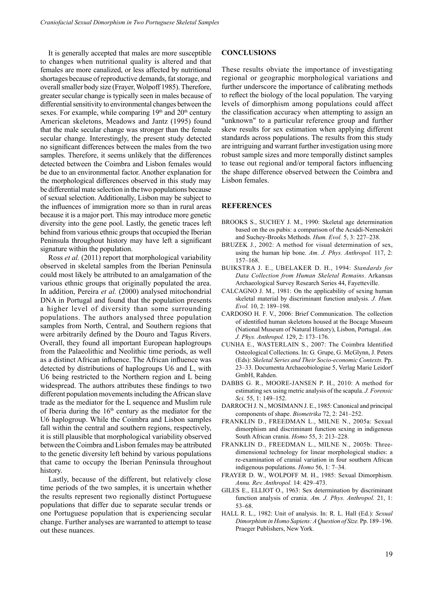It is generally accepted that males are more susceptible to changes when nutritional quality is altered and that females are more canalized, or less affected by nutritional shortages because of reproductive demands, fat storage, and overall smaller body size (Frayer, Wolpoff 1985). Therefore, greater secular change is typically seen in males because of differential sensitivity to environmental changes between the sexes. For example, while comparing  $19<sup>th</sup>$  and  $20<sup>th</sup>$  century American skeletons, Meadows and Jantz (1995) found that the male secular change was stronger than the female secular change. Interestingly, the present study detected no significant differences between the males from the two samples. Therefore, it seems unlikely that the differences detected between the Coimbra and Lisbon females would be due to an environmental factor. Another explanation for the morphological differences observed in this study may be differential mate selection in the two populations because of sexual selection. Additionally, Lisbon may be subject to the influences of immigration more so than in rural areas because it is a major port. This may introduce more genetic diversity into the gene pool. Lastly, the genetic traces left behind from various ethnic groups that occupied the Iberian Peninsula throughout history may have left a significant signature within the population.

Ross *et al.* (2011) report that morphological variability observed in skeletal samples from the Iberian Peninsula could most likely be attributed to an amalgamation of the various ethnic groups that originally populated the area. In addition, Pereira *et al.* (2000) analysed mitochondrial DNA in Portugal and found that the population presents a higher level of diversity than some surrounding populations. The authors analysed three population samples from North, Central, and Southern regions that were arbitrarily defined by the Douro and Tagus Rivers. Overall, they found all important European haplogroups from the Palaeolithic and Neolithic time periods, as well as a distinct African influence. The African influence was detected by distributions of haplogroups U6 and L, with U6 being restricted to the Northern region and L being widespread. The authors attributes these findings to two different population movements including the African slave trade as the mediator for the L sequence and Muslim rule of Iberia during the  $16<sup>th</sup>$  century as the mediator for the U6 haplogroup. While the Coimbra and Lisbon samples fall within the central and southern regions, respectively, it is still plausible that morphological variability observed between the Coimbra and Lisbon females may be attributed to the genetic diversity left behind by various populations that came to occupy the Iberian Peninsula throughout history.

Lastly, because of the different, but relatively close time periods of the two samples, it is uncertain whether the results represent two regionally distinct Portuguese populations that differ due to separate secular trends or one Portuguese population that is experiencing secular change. Further analyses are warranted to attempt to tease out these nuances.

#### **Conclusions**

These results obviate the importance of investigating regional or geographic morphological variations and further underscore the importance of calibrating methods to reflect the biology of the local population. The varying levels of dimorphism among populations could affect the classification accuracy when attempting to assign an "unknown" to a particular reference group and further skew results for sex estimation when applying different standards across populations. The results from this study are intriguing and warrant further investigation using more robust sample sizes and more temporally distinct samples to tease out regional and/or temporal factors influencing the shape difference observed between the Coimbra and Lisbon females.

#### **References**

- BROOKS S., SUCHEY J. M., 1990: Skeletal age determination based on the os pubis: a comparison of the Acsádi-Nemeskéri and Suchey-Brooks Methods. *Hum. Evol.* 5, 3: 227–238.
- BRUZEK J., 2002: A method for visual determination of sex, using the human hip bone. *Am. J. Phys. Anthropol.* 117, 2: 157–168.
- BUIKSTRA J. E., UBELAKER D. H., 1994: *Standards for Data Collection from Human Skeletal Remains*. Arkansas Archaeological Survey Research Series 44, Fayetteville.
- CALCAGNO J. M., 1981: On the applicability of sexing human skeletal material by discriminant function analysis. *J. Hum. Evol.* 10, 2: 189–198.
- CARDOSO H. F. V., 2006: Brief Communication. The collection of identified human skeletons housed at the Bocage Museum (National Museum of Natural History), Lisbon, Portugal. *Am. J. Phys. Anthropol.* 129, 2: 173–176.
- CUNHA E., WASTERLAIN S., 2007: The Coimbra Identified Osteological Collections. In: G*.* Grupe, G. McGlynn, J. Peters (Eds): *Skeletal Series and Their Socio-economic Contexts.* Pp. 23–33. Documenta Archaeobiologiae 5, Verlag Marie Leidorf GmbH, Rahden.
- DABBS G. R., MOORE-JANSEN P. H., 2010: A method for estimating sex using metric analysis of the scapula. *J. Forensic Sci.* 55, 1: 149–152.
- DARROCH J. N., MOSIMANN J. E., 1985: Canonical and principal components of shape. *Biometrika* 72, 2: 241–252.
- FRANKLIN D., FREEDMAN L., MILNE N., 2005a: Sexual dimorphism and discriminant function sexing in indigenous South African crania. *Homo* 55, 3: 213–228.
- FRANKLIN D., FREEDMAN L., MILNE N., 2005b: Threedimensional technology for linear morphological studies: a re-examination of cranial variation in four southern African indigenous populations. *Homo* 56, 1: 7–34.
- FRAYER D. W., WOLPOFF M. H., 1985: Sexual Dimorphism. *Annu. Rev. Anthropol.* 14: 429–473.
- GILES E., ELLIOT O., 1963: Sex determination by discriminant function analysis of crania. *Am. J. Phys. Anthropol.* 21, 1: 53–68.
- HALL R. L., 1982: Unit of analysis. In: R. L. Hall (Ed.): *Sexual Dimorphism in Homo Sapiens: A Question of Size.* Pp. 189–196. Praeger Publishers, New York.